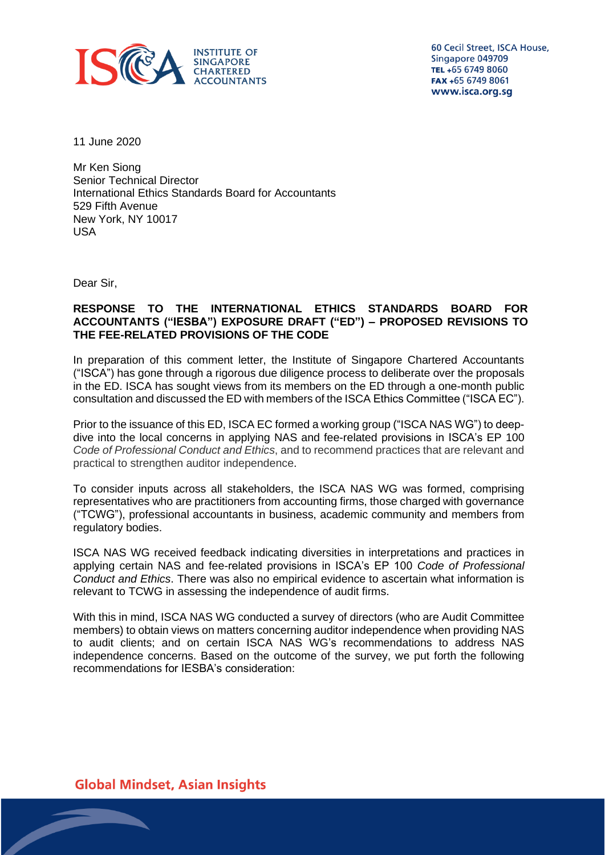

60 Cecil Street, ISCA House, Singapore 049709 TEL +65 6749 8060 FAX +65 6749 8061 www.isca.org.sg

11 June 2020

Mr Ken Siong Senior Technical Director International Ethics Standards Board for Accountants 529 Fifth Avenue New York, NY 10017 USA

Dear Sir,

### **RESPONSE TO THE INTERNATIONAL ETHICS STANDARDS BOARD FOR ACCOUNTANTS ("IESBA") EXPOSURE DRAFT ("ED") – PROPOSED REVISIONS TO THE FEE-RELATED PROVISIONS OF THE CODE**

In preparation of this comment letter, the Institute of Singapore Chartered Accountants ("ISCA") has gone through a rigorous due diligence process to deliberate over the proposals in the ED. ISCA has sought views from its members on the ED through a one-month public consultation and discussed the ED with members of the ISCA Ethics Committee ("ISCA EC").

Prior to the issuance of this ED, ISCA EC formed a working group ("ISCA NAS WG") to deepdive into the local concerns in applying NAS and fee-related provisions in ISCA's EP 100 *Code of Professional Conduct and Ethics*, and to recommend practices that are relevant and practical to strengthen auditor independence.

To consider inputs across all stakeholders, the ISCA NAS WG was formed, comprising representatives who are practitioners from accounting firms, those charged with governance ("TCWG"), professional accountants in business, academic community and members from regulatory bodies.

ISCA NAS WG received feedback indicating diversities in interpretations and practices in applying certain NAS and fee-related provisions in ISCA's EP 100 *Code of Professional Conduct and Ethics*. There was also no empirical evidence to ascertain what information is relevant to TCWG in assessing the independence of audit firms.

With this in mind, ISCA NAS WG conducted a survey of directors (who are Audit Committee members) to obtain views on matters concerning auditor independence when providing NAS to audit clients; and on certain ISCA NAS WG's recommendations to address NAS independence concerns. Based on the outcome of the survey, we put forth the following recommendations for IESBA's consideration:

**Global Mindset, Asian Insights**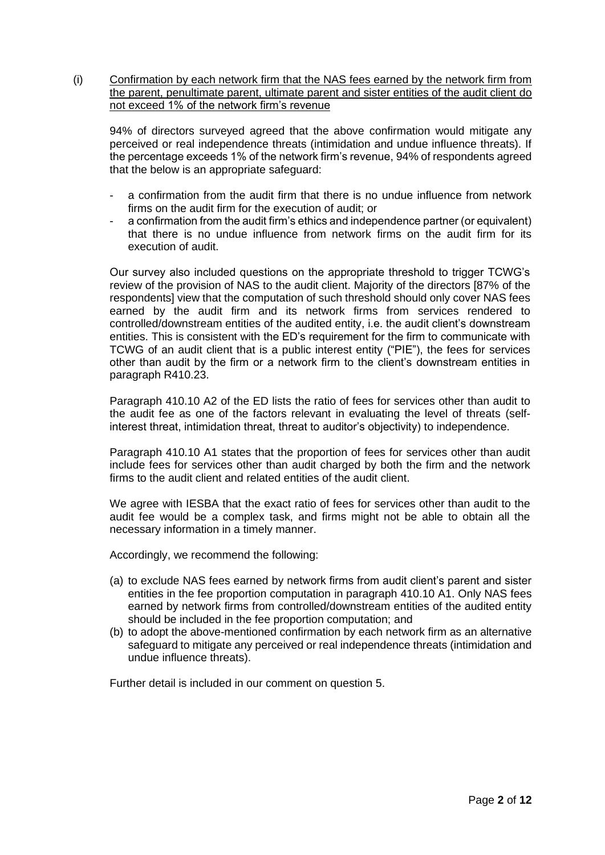(i) Confirmation by each network firm that the NAS fees earned by the network firm from the parent, penultimate parent, ultimate parent and sister entities of the audit client do not exceed 1% of the network firm's revenue

94% of directors surveyed agreed that the above confirmation would mitigate any perceived or real independence threats (intimidation and undue influence threats). If the percentage exceeds 1% of the network firm's revenue, 94% of respondents agreed that the below is an appropriate safeguard:

- a confirmation from the audit firm that there is no undue influence from network firms on the audit firm for the execution of audit; or
- a confirmation from the audit firm's ethics and independence partner (or equivalent) that there is no undue influence from network firms on the audit firm for its execution of audit.

Our survey also included questions on the appropriate threshold to trigger TCWG's review of the provision of NAS to the audit client. Majority of the directors [87% of the respondents] view that the computation of such threshold should only cover NAS fees earned by the audit firm and its network firms from services rendered to controlled/downstream entities of the audited entity, i.e. the audit client's downstream entities. This is consistent with the ED's requirement for the firm to communicate with TCWG of an audit client that is a public interest entity ("PIE"), the fees for services other than audit by the firm or a network firm to the client's downstream entities in paragraph R410.23.

Paragraph 410.10 A2 of the ED lists the ratio of fees for services other than audit to the audit fee as one of the factors relevant in evaluating the level of threats (selfinterest threat, intimidation threat, threat to auditor's objectivity) to independence.

Paragraph 410.10 A1 states that the proportion of fees for services other than audit include fees for services other than audit charged by both the firm and the network firms to the audit client and related entities of the audit client.

We agree with IESBA that the exact ratio of fees for services other than audit to the audit fee would be a complex task, and firms might not be able to obtain all the necessary information in a timely manner.

Accordingly, we recommend the following:

- (a) to exclude NAS fees earned by network firms from audit client's parent and sister entities in the fee proportion computation in paragraph 410.10 A1. Only NAS fees earned by network firms from controlled/downstream entities of the audited entity should be included in the fee proportion computation; and
- (b) to adopt the above-mentioned confirmation by each network firm as an alternative safeguard to mitigate any perceived or real independence threats (intimidation and undue influence threats).

Further detail is included in our comment on question 5.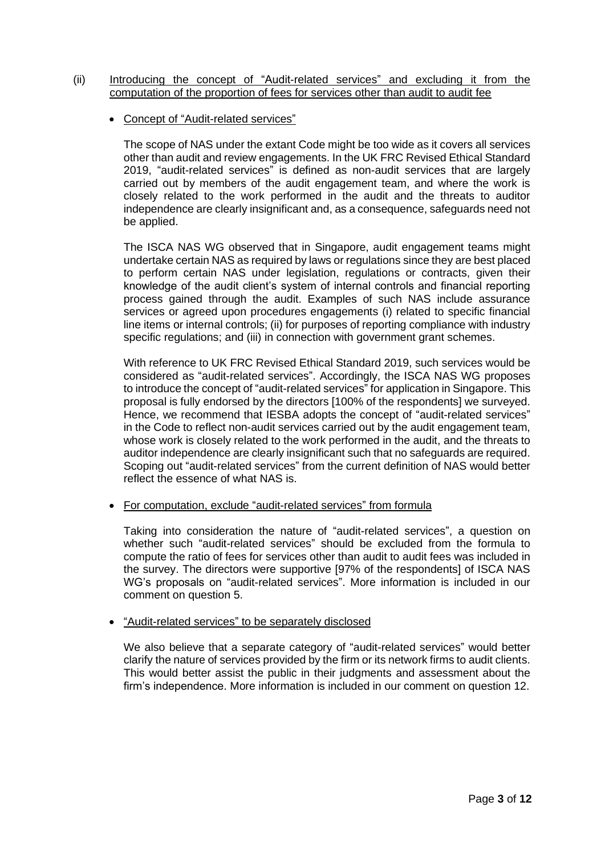- (ii) Introducing the concept of "Audit-related services" and excluding it from the computation of the proportion of fees for services other than audit to audit fee
	- Concept of "Audit-related services"

The scope of NAS under the extant Code might be too wide as it covers all services other than audit and review engagements. In the UK FRC Revised Ethical Standard 2019, "audit-related services" is defined as non-audit services that are largely carried out by members of the audit engagement team, and where the work is closely related to the work performed in the audit and the threats to auditor independence are clearly insignificant and, as a consequence, safeguards need not be applied.

The ISCA NAS WG observed that in Singapore, audit engagement teams might undertake certain NAS as required by laws or regulations since they are best placed to perform certain NAS under legislation, regulations or contracts, given their knowledge of the audit client's system of internal controls and financial reporting process gained through the audit. Examples of such NAS include assurance services or agreed upon procedures engagements (i) related to specific financial line items or internal controls; (ii) for purposes of reporting compliance with industry specific regulations; and (iii) in connection with government grant schemes.

With reference to UK FRC Revised Ethical Standard 2019, such services would be considered as "audit-related services". Accordingly, the ISCA NAS WG proposes to introduce the concept of "audit-related services" for application in Singapore. This proposal is fully endorsed by the directors [100% of the respondents] we surveyed. Hence, we recommend that IESBA adopts the concept of "audit-related services" in the Code to reflect non-audit services carried out by the audit engagement team, whose work is closely related to the work performed in the audit, and the threats to auditor independence are clearly insignificant such that no safeguards are required. Scoping out "audit-related services" from the current definition of NAS would better reflect the essence of what NAS is.

• For computation, exclude "audit-related services" from formula

Taking into consideration the nature of "audit-related services", a question on whether such "audit-related services" should be excluded from the formula to compute the ratio of fees for services other than audit to audit fees was included in the survey. The directors were supportive [97% of the respondents] of ISCA NAS WG's proposals on "audit-related services". More information is included in our comment on question 5.

# • "Audit-related services" to be separately disclosed

We also believe that a separate category of "audit-related services" would better clarify the nature of services provided by the firm or its network firms to audit clients. This would better assist the public in their judgments and assessment about the firm's independence. More information is included in our comment on question 12.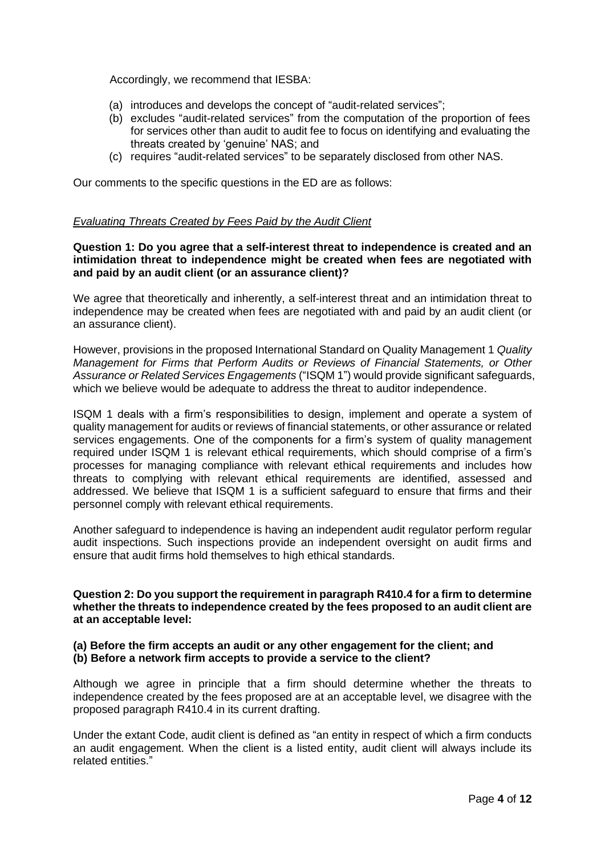Accordingly, we recommend that IESBA:

- (a) introduces and develops the concept of "audit-related services";
- (b) excludes "audit-related services" from the computation of the proportion of fees for services other than audit to audit fee to focus on identifying and evaluating the threats created by 'genuine' NAS; and
- (c) requires "audit-related services" to be separately disclosed from other NAS.

Our comments to the specific questions in the ED are as follows:

### *Evaluating Threats Created by Fees Paid by the Audit Client*

**Question 1: Do you agree that a self-interest threat to independence is created and an intimidation threat to independence might be created when fees are negotiated with and paid by an audit client (or an assurance client)?**

We agree that theoretically and inherently, a self-interest threat and an intimidation threat to independence may be created when fees are negotiated with and paid by an audit client (or an assurance client).

However, provisions in the proposed International Standard on Quality Management 1 *Quality Management for Firms that Perform Audits or Reviews of Financial Statements, or Other Assurance or Related Services Engagements* ("ISQM 1") would provide significant safeguards, which we believe would be adequate to address the threat to auditor independence.

ISQM 1 deals with a firm's responsibilities to design, implement and operate a system of quality management for audits or reviews of financial statements, or other assurance or related services engagements. One of the components for a firm's system of quality management required under ISQM 1 is relevant ethical requirements, which should comprise of a firm's processes for managing compliance with relevant ethical requirements and includes how threats to complying with relevant ethical requirements are identified, assessed and addressed. We believe that ISQM 1 is a sufficient safeguard to ensure that firms and their personnel comply with relevant ethical requirements.

Another safeguard to independence is having an independent audit regulator perform regular audit inspections. Such inspections provide an independent oversight on audit firms and ensure that audit firms hold themselves to high ethical standards.

**Question 2: Do you support the requirement in paragraph R410.4 for a firm to determine whether the threats to independence created by the fees proposed to an audit client are at an acceptable level:** 

### **(a) Before the firm accepts an audit or any other engagement for the client; and (b) Before a network firm accepts to provide a service to the client?**

Although we agree in principle that a firm should determine whether the threats to independence created by the fees proposed are at an acceptable level, we disagree with the proposed paragraph R410.4 in its current drafting.

Under the extant Code, audit client is defined as "an entity in respect of which a firm conducts an audit engagement. When the client is a listed entity, audit client will always include its related entities."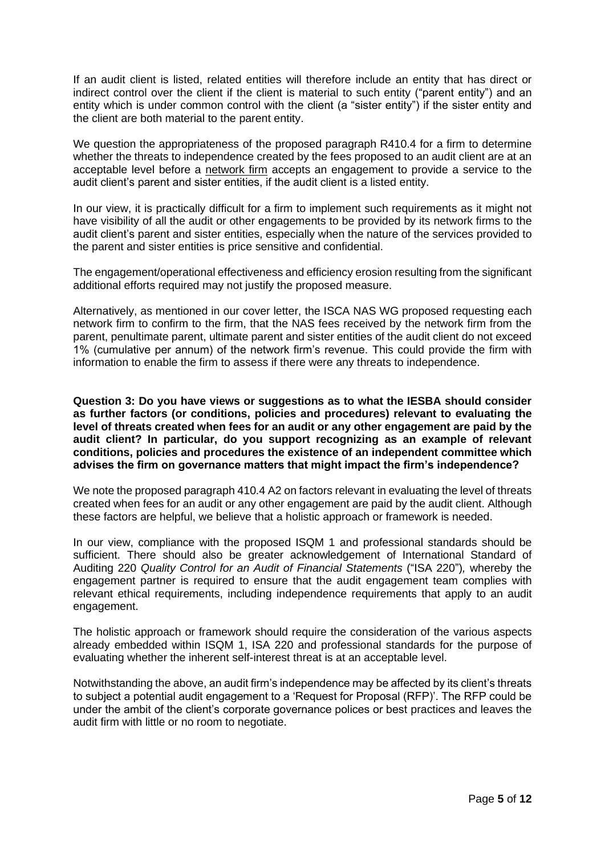If an audit client is listed, related entities will therefore include an entity that has direct or indirect control over the client if the client is material to such entity ("parent entity") and an entity which is under common control with the client (a "sister entity") if the sister entity and the client are both material to the parent entity.

We question the appropriateness of the proposed paragraph R410.4 for a firm to determine whether the threats to independence created by the fees proposed to an audit client are at an acceptable level before a network firm accepts an engagement to provide a service to the audit client's parent and sister entities, if the audit client is a listed entity.

In our view, it is practically difficult for a firm to implement such requirements as it might not have visibility of all the audit or other engagements to be provided by its network firms to the audit client's parent and sister entities, especially when the nature of the services provided to the parent and sister entities is price sensitive and confidential.

The engagement/operational effectiveness and efficiency erosion resulting from the significant additional efforts required may not justify the proposed measure.

Alternatively, as mentioned in our cover letter, the ISCA NAS WG proposed requesting each network firm to confirm to the firm, that the NAS fees received by the network firm from the parent, penultimate parent, ultimate parent and sister entities of the audit client do not exceed 1% (cumulative per annum) of the network firm's revenue. This could provide the firm with information to enable the firm to assess if there were any threats to independence.

**Question 3: Do you have views or suggestions as to what the IESBA should consider as further factors (or conditions, policies and procedures) relevant to evaluating the level of threats created when fees for an audit or any other engagement are paid by the audit client? In particular, do you support recognizing as an example of relevant conditions, policies and procedures the existence of an independent committee which advises the firm on governance matters that might impact the firm's independence?**

We note the proposed paragraph 410.4 A2 on factors relevant in evaluating the level of threats created when fees for an audit or any other engagement are paid by the audit client. Although these factors are helpful, we believe that a holistic approach or framework is needed.

In our view, compliance with the proposed ISQM 1 and professional standards should be sufficient. There should also be greater acknowledgement of International Standard of Auditing 220 *Quality Control for an Audit of Financial Statements* ("ISA 220")*,* whereby the engagement partner is required to ensure that the audit engagement team complies with relevant ethical requirements, including independence requirements that apply to an audit engagement.

The holistic approach or framework should require the consideration of the various aspects already embedded within ISQM 1, ISA 220 and professional standards for the purpose of evaluating whether the inherent self-interest threat is at an acceptable level.

Notwithstanding the above, an audit firm's independence may be affected by its client's threats to subject a potential audit engagement to a 'Request for Proposal (RFP)'. The RFP could be under the ambit of the client's corporate governance polices or best practices and leaves the audit firm with little or no room to negotiate.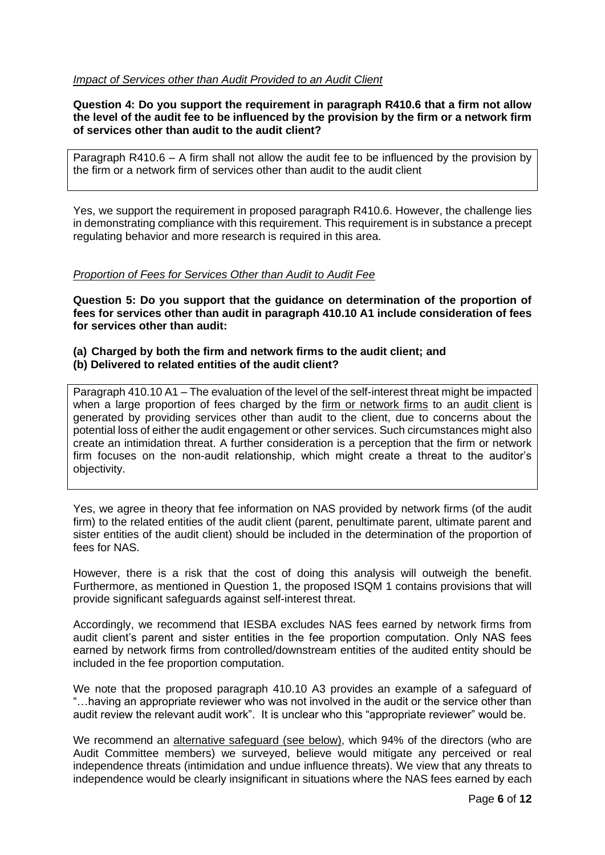### *Impact of Services other than Audit Provided to an Audit Client*

**Question 4: Do you support the requirement in paragraph R410.6 that a firm not allow the level of the audit fee to be influenced by the provision by the firm or a network firm of services other than audit to the audit client?**

Paragraph R410.6 – A firm shall not allow the audit fee to be influenced by the provision by the firm or a network firm of services other than audit to the audit client

Yes, we support the requirement in proposed paragraph R410.6. However, the challenge lies in demonstrating compliance with this requirement. This requirement is in substance a precept regulating behavior and more research is required in this area.

### *Proportion of Fees for Services Other than Audit to Audit Fee*

**Question 5: Do you support that the guidance on determination of the proportion of fees for services other than audit in paragraph 410.10 A1 include consideration of fees for services other than audit:** 

#### **(a) Charged by both the firm and network firms to the audit client; and (b) Delivered to related entities of the audit client?**

Paragraph 410.10 A1 – The evaluation of the level of the self-interest threat might be impacted when a large proportion of fees charged by the firm or network firms to an audit client is generated by providing services other than audit to the client, due to concerns about the potential loss of either the audit engagement or other services. Such circumstances might also create an intimidation threat. A further consideration is a perception that the firm or network firm focuses on the non-audit relationship, which might create a threat to the auditor's objectivity.

Yes, we agree in theory that fee information on NAS provided by network firms (of the audit firm) to the related entities of the audit client (parent, penultimate parent, ultimate parent and sister entities of the audit client) should be included in the determination of the proportion of fees for NAS.

However, there is a risk that the cost of doing this analysis will outweigh the benefit. Furthermore, as mentioned in Question 1, the proposed ISQM 1 contains provisions that will provide significant safeguards against self-interest threat.

Accordingly, we recommend that IESBA excludes NAS fees earned by network firms from audit client's parent and sister entities in the fee proportion computation. Only NAS fees earned by network firms from controlled/downstream entities of the audited entity should be included in the fee proportion computation.

We note that the proposed paragraph 410.10 A3 provides an example of a safeguard of "…having an appropriate reviewer who was not involved in the audit or the service other than audit review the relevant audit work". It is unclear who this "appropriate reviewer" would be.

We recommend an alternative safeguard (see below), which 94% of the directors (who are Audit Committee members) we surveyed, believe would mitigate any perceived or real independence threats (intimidation and undue influence threats). We view that any threats to independence would be clearly insignificant in situations where the NAS fees earned by each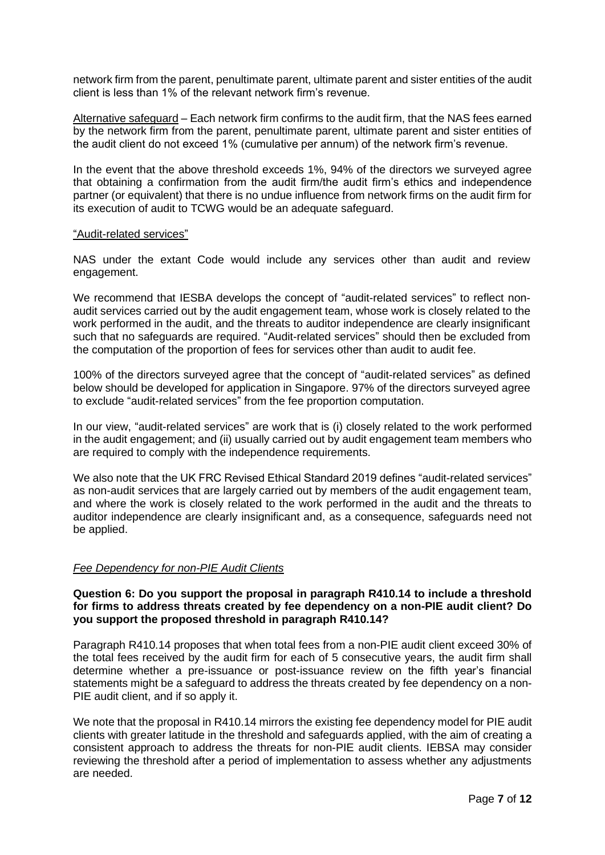network firm from the parent, penultimate parent, ultimate parent and sister entities of the audit client is less than 1% of the relevant network firm's revenue.

Alternative safeguard – Each network firm confirms to the audit firm, that the NAS fees earned by the network firm from the parent, penultimate parent, ultimate parent and sister entities of the audit client do not exceed 1% (cumulative per annum) of the network firm's revenue.

In the event that the above threshold exceeds 1%, 94% of the directors we surveyed agree that obtaining a confirmation from the audit firm/the audit firm's ethics and independence partner (or equivalent) that there is no undue influence from network firms on the audit firm for its execution of audit to TCWG would be an adequate safeguard.

#### "Audit-related services"

NAS under the extant Code would include any services other than audit and review engagement.

We recommend that IESBA develops the concept of "audit-related services" to reflect nonaudit services carried out by the audit engagement team, whose work is closely related to the work performed in the audit, and the threats to auditor independence are clearly insignificant such that no safeguards are required. "Audit-related services" should then be excluded from the computation of the proportion of fees for services other than audit to audit fee.

100% of the directors surveyed agree that the concept of "audit-related services" as defined below should be developed for application in Singapore. 97% of the directors surveyed agree to exclude "audit-related services" from the fee proportion computation.

In our view, "audit-related services" are work that is (i) closely related to the work performed in the audit engagement; and (ii) usually carried out by audit engagement team members who are required to comply with the independence requirements.

We also note that the UK FRC Revised Ethical Standard 2019 defines "audit-related services" as non-audit services that are largely carried out by members of the audit engagement team, and where the work is closely related to the work performed in the audit and the threats to auditor independence are clearly insignificant and, as a consequence, safeguards need not be applied.

#### *Fee Dependency for non-PIE Audit Clients*

#### **Question 6: Do you support the proposal in paragraph R410.14 to include a threshold for firms to address threats created by fee dependency on a non-PIE audit client? Do you support the proposed threshold in paragraph R410.14?**

Paragraph R410.14 proposes that when total fees from a non-PIE audit client exceed 30% of the total fees received by the audit firm for each of 5 consecutive years, the audit firm shall determine whether a pre-issuance or post-issuance review on the fifth year's financial statements might be a safeguard to address the threats created by fee dependency on a non-PIE audit client, and if so apply it.

We note that the proposal in R410.14 mirrors the existing fee dependency model for PIE audit clients with greater latitude in the threshold and safeguards applied, with the aim of creating a consistent approach to address the threats for non-PIE audit clients. IEBSA may consider reviewing the threshold after a period of implementation to assess whether any adjustments are needed.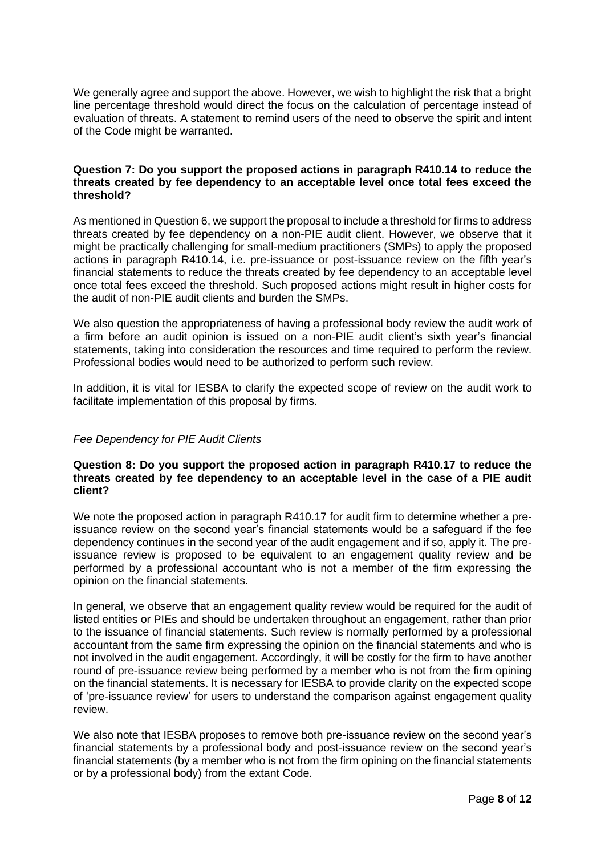We generally agree and support the above. However, we wish to highlight the risk that a bright line percentage threshold would direct the focus on the calculation of percentage instead of evaluation of threats. A statement to remind users of the need to observe the spirit and intent of the Code might be warranted.

### **Question 7: Do you support the proposed actions in paragraph R410.14 to reduce the threats created by fee dependency to an acceptable level once total fees exceed the threshold?**

As mentioned in Question 6, we support the proposal to include a threshold for firms to address threats created by fee dependency on a non-PIE audit client. However, we observe that it might be practically challenging for small-medium practitioners (SMPs) to apply the proposed actions in paragraph R410.14, i.e. pre-issuance or post-issuance review on the fifth year's financial statements to reduce the threats created by fee dependency to an acceptable level once total fees exceed the threshold. Such proposed actions might result in higher costs for the audit of non-PIE audit clients and burden the SMPs.

We also question the appropriateness of having a professional body review the audit work of a firm before an audit opinion is issued on a non-PIE audit client's sixth year's financial statements, taking into consideration the resources and time required to perform the review. Professional bodies would need to be authorized to perform such review.

In addition, it is vital for IESBA to clarify the expected scope of review on the audit work to facilitate implementation of this proposal by firms.

# *Fee Dependency for PIE Audit Clients*

## **Question 8: Do you support the proposed action in paragraph R410.17 to reduce the threats created by fee dependency to an acceptable level in the case of a PIE audit client?**

We note the proposed action in paragraph R410.17 for audit firm to determine whether a preissuance review on the second year's financial statements would be a safeguard if the fee dependency continues in the second year of the audit engagement and if so, apply it. The preissuance review is proposed to be equivalent to an engagement quality review and be performed by a professional accountant who is not a member of the firm expressing the opinion on the financial statements.

In general, we observe that an engagement quality review would be required for the audit of listed entities or PIEs and should be undertaken throughout an engagement, rather than prior to the issuance of financial statements. Such review is normally performed by a professional accountant from the same firm expressing the opinion on the financial statements and who is not involved in the audit engagement. Accordingly, it will be costly for the firm to have another round of pre-issuance review being performed by a member who is not from the firm opining on the financial statements. It is necessary for IESBA to provide clarity on the expected scope of 'pre-issuance review' for users to understand the comparison against engagement quality review.

We also note that IESBA proposes to remove both pre-issuance review on the second year's financial statements by a professional body and post-issuance review on the second year's financial statements (by a member who is not from the firm opining on the financial statements or by a professional body) from the extant Code.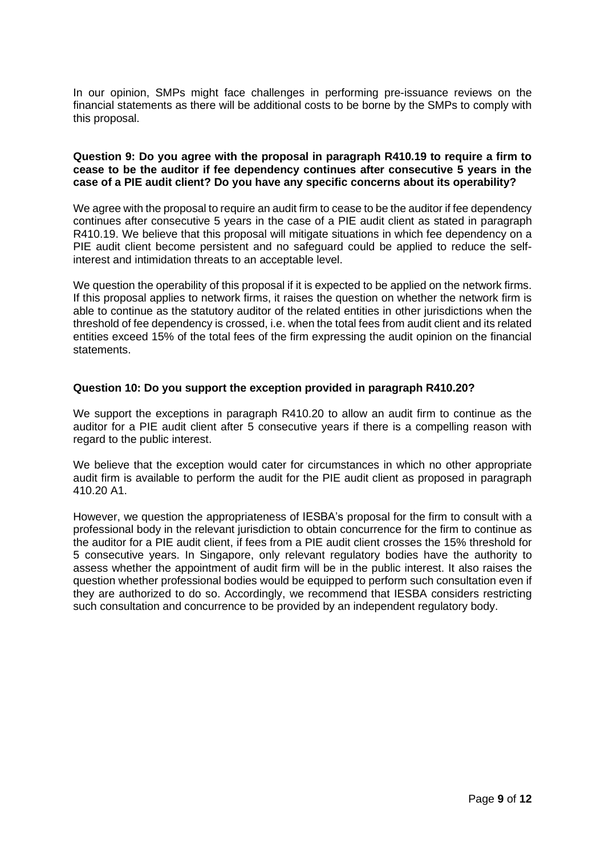In our opinion, SMPs might face challenges in performing pre-issuance reviews on the financial statements as there will be additional costs to be borne by the SMPs to comply with this proposal.

### **Question 9: Do you agree with the proposal in paragraph R410.19 to require a firm to cease to be the auditor if fee dependency continues after consecutive 5 years in the case of a PIE audit client? Do you have any specific concerns about its operability?**

We agree with the proposal to require an audit firm to cease to be the auditor if fee dependency continues after consecutive 5 years in the case of a PIE audit client as stated in paragraph R410.19. We believe that this proposal will mitigate situations in which fee dependency on a PIE audit client become persistent and no safeguard could be applied to reduce the selfinterest and intimidation threats to an acceptable level.

We question the operability of this proposal if it is expected to be applied on the network firms. If this proposal applies to network firms, it raises the question on whether the network firm is able to continue as the statutory auditor of the related entities in other jurisdictions when the threshold of fee dependency is crossed, i.e. when the total fees from audit client and its related entities exceed 15% of the total fees of the firm expressing the audit opinion on the financial statements.

### **Question 10: Do you support the exception provided in paragraph R410.20?**

We support the exceptions in paragraph R410.20 to allow an audit firm to continue as the auditor for a PIE audit client after 5 consecutive years if there is a compelling reason with regard to the public interest.

We believe that the exception would cater for circumstances in which no other appropriate audit firm is available to perform the audit for the PIE audit client as proposed in paragraph 410.20 A1.

However, we question the appropriateness of IESBA's proposal for the firm to consult with a professional body in the relevant jurisdiction to obtain concurrence for the firm to continue as the auditor for a PIE audit client, if fees from a PIE audit client crosses the 15% threshold for 5 consecutive years. In Singapore, only relevant regulatory bodies have the authority to assess whether the appointment of audit firm will be in the public interest. It also raises the question whether professional bodies would be equipped to perform such consultation even if they are authorized to do so. Accordingly, we recommend that IESBA considers restricting such consultation and concurrence to be provided by an independent regulatory body.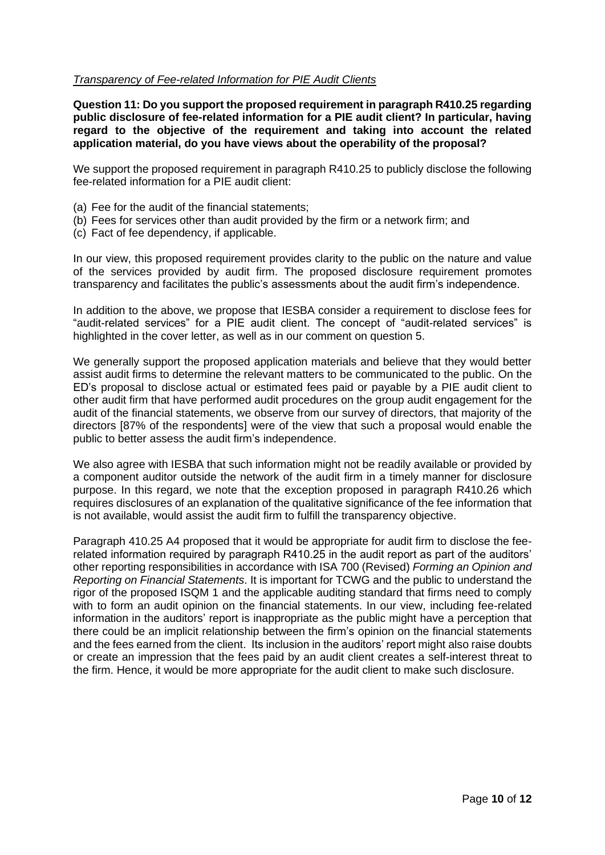### *Transparency of Fee-related Information for PIE Audit Clients*

**Question 11: Do you support the proposed requirement in paragraph R410.25 regarding public disclosure of fee-related information for a PIE audit client? In particular, having regard to the objective of the requirement and taking into account the related application material, do you have views about the operability of the proposal?**

We support the proposed requirement in paragraph R410.25 to publicly disclose the following fee-related information for a PIE audit client:

- (a) Fee for the audit of the financial statements;
- (b) Fees for services other than audit provided by the firm or a network firm; and
- (c) Fact of fee dependency, if applicable.

In our view, this proposed requirement provides clarity to the public on the nature and value of the services provided by audit firm. The proposed disclosure requirement promotes transparency and facilitates the public's assessments about the audit firm's independence.

In addition to the above, we propose that IESBA consider a requirement to disclose fees for "audit-related services" for a PIE audit client. The concept of "audit-related services" is highlighted in the cover letter, as well as in our comment on question 5.

We generally support the proposed application materials and believe that they would better assist audit firms to determine the relevant matters to be communicated to the public. On the ED's proposal to disclose actual or estimated fees paid or payable by a PIE audit client to other audit firm that have performed audit procedures on the group audit engagement for the audit of the financial statements, we observe from our survey of directors, that majority of the directors [87% of the respondents] were of the view that such a proposal would enable the public to better assess the audit firm's independence.

We also agree with IESBA that such information might not be readily available or provided by a component auditor outside the network of the audit firm in a timely manner for disclosure purpose. In this regard, we note that the exception proposed in paragraph R410.26 which requires disclosures of an explanation of the qualitative significance of the fee information that is not available, would assist the audit firm to fulfill the transparency objective.

Paragraph 410.25 A4 proposed that it would be appropriate for audit firm to disclose the feerelated information required by paragraph R410.25 in the audit report as part of the auditors' other reporting responsibilities in accordance with ISA 700 (Revised) *Forming an Opinion and Reporting on Financial Statements*. It is important for TCWG and the public to understand the rigor of the proposed ISQM 1 and the applicable auditing standard that firms need to comply with to form an audit opinion on the financial statements. In our view, including fee-related information in the auditors' report is inappropriate as the public might have a perception that there could be an implicit relationship between the firm's opinion on the financial statements and the fees earned from the client. Its inclusion in the auditors' report might also raise doubts or create an impression that the fees paid by an audit client creates a self-interest threat to the firm. Hence, it would be more appropriate for the audit client to make such disclosure.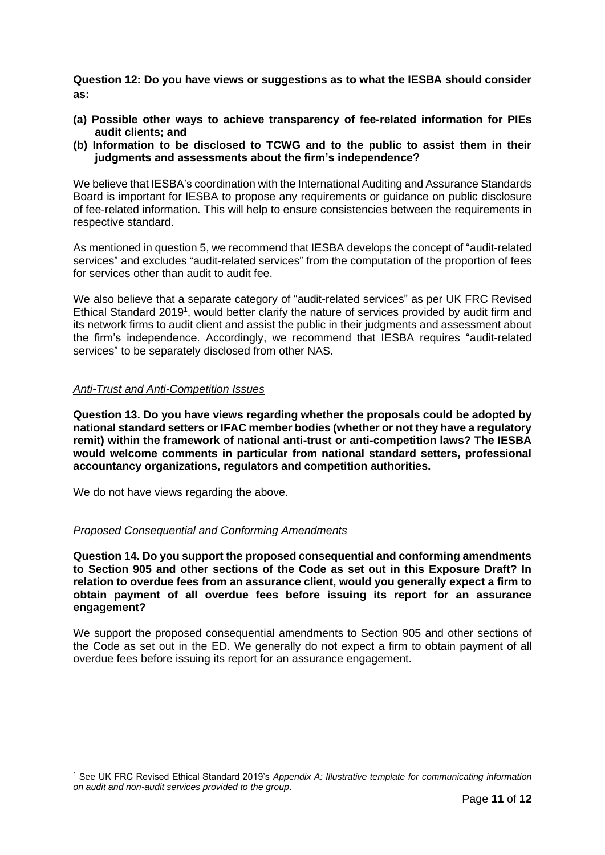**Question 12: Do you have views or suggestions as to what the IESBA should consider as:**

- **(a) Possible other ways to achieve transparency of fee-related information for PIEs audit clients; and**
- **(b) Information to be disclosed to TCWG and to the public to assist them in their judgments and assessments about the firm's independence?**

We believe that IESBA's coordination with the International Auditing and Assurance Standards Board is important for IESBA to propose any requirements or guidance on public disclosure of fee-related information. This will help to ensure consistencies between the requirements in respective standard.

As mentioned in question 5, we recommend that IESBA develops the concept of "audit-related services" and excludes "audit-related services" from the computation of the proportion of fees for services other than audit to audit fee.

We also believe that a separate category of "audit-related services" as per UK FRC Revised Ethical Standard 2019<sup>1</sup>, would better clarify the nature of services provided by audit firm and its network firms to audit client and assist the public in their judgments and assessment about the firm's independence. Accordingly, we recommend that IESBA requires "audit-related services" to be separately disclosed from other NAS.

### *Anti-Trust and Anti-Competition Issues*

**Question 13. Do you have views regarding whether the proposals could be adopted by national standard setters or IFAC member bodies (whether or not they have a regulatory remit) within the framework of national anti-trust or anti-competition laws? The IESBA would welcome comments in particular from national standard setters, professional accountancy organizations, regulators and competition authorities.** 

We do not have views regarding the above.

#### *Proposed Consequential and Conforming Amendments*

**Question 14. Do you support the proposed consequential and conforming amendments to Section 905 and other sections of the Code as set out in this Exposure Draft? In relation to overdue fees from an assurance client, would you generally expect a firm to obtain payment of all overdue fees before issuing its report for an assurance engagement?** 

We support the proposed consequential amendments to Section 905 and other sections of the Code as set out in the ED. We generally do not expect a firm to obtain payment of all overdue fees before issuing its report for an assurance engagement.

<sup>1</sup> See UK FRC Revised Ethical Standard 2019's *Appendix A: Illustrative template for communicating information on audit and non-audit services provided to the group*.